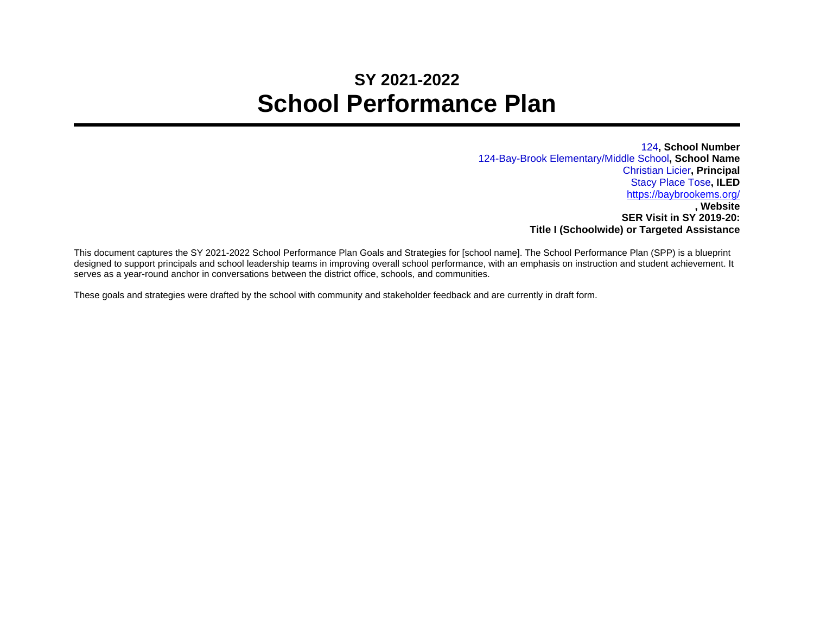## **SY 2021-2022 School Performance Plan**

124**, School Number** 124-Bay-Brook Elementary/Middle School**, School Name** Christian Licier**, Principal** Stacy Place Tose**, ILED** <https://baybrookems.org/> **, Website SER Visit in SY 2019-20: Title I (Schoolwide) or Targeted Assistance**

This document captures the SY 2021-2022 School Performance Plan Goals and Strategies for [school name]. The School Performance Plan (SPP) is a blueprint designed to support principals and school leadership teams in improving overall school performance, with an emphasis on instruction and student achievement. It serves as a year-round anchor in conversations between the district office, schools, and communities.

These goals and strategies were drafted by the school with community and stakeholder feedback and are currently in draft form.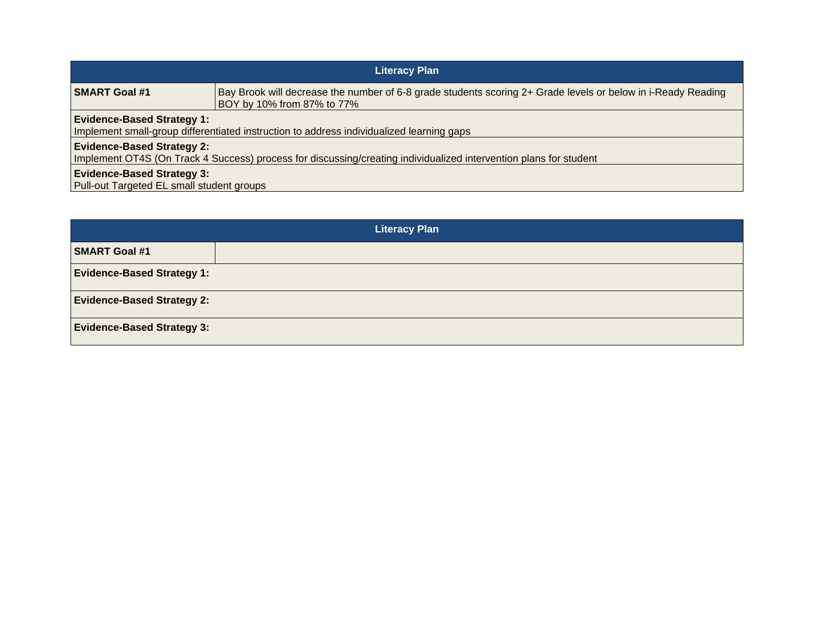| <b>Literacy Plan</b>                                                                                                                                   |                                                                                                                                            |  |
|--------------------------------------------------------------------------------------------------------------------------------------------------------|--------------------------------------------------------------------------------------------------------------------------------------------|--|
| <b>SMART Goal #1</b>                                                                                                                                   | Bay Brook will decrease the number of 6-8 grade students scoring 2+ Grade levels or below in i-Ready Reading<br>BOY by 10% from 87% to 77% |  |
| <b>Evidence-Based Strategy 1:</b><br>Implement small-group differentiated instruction to address individualized learning gaps                          |                                                                                                                                            |  |
| <b>Evidence-Based Strategy 2:</b><br>Implement OT4S (On Track 4 Success) process for discussing/creating individualized intervention plans for student |                                                                                                                                            |  |
| <b>Evidence-Based Strategy 3:</b><br>Pull-out Targeted EL small student groups                                                                         |                                                                                                                                            |  |

| <b>Literacy Plan</b>              |  |  |
|-----------------------------------|--|--|
| <b>SMART Goal #1</b>              |  |  |
| <b>Evidence-Based Strategy 1:</b> |  |  |
| <b>Evidence-Based Strategy 2:</b> |  |  |
| <b>Evidence-Based Strategy 3:</b> |  |  |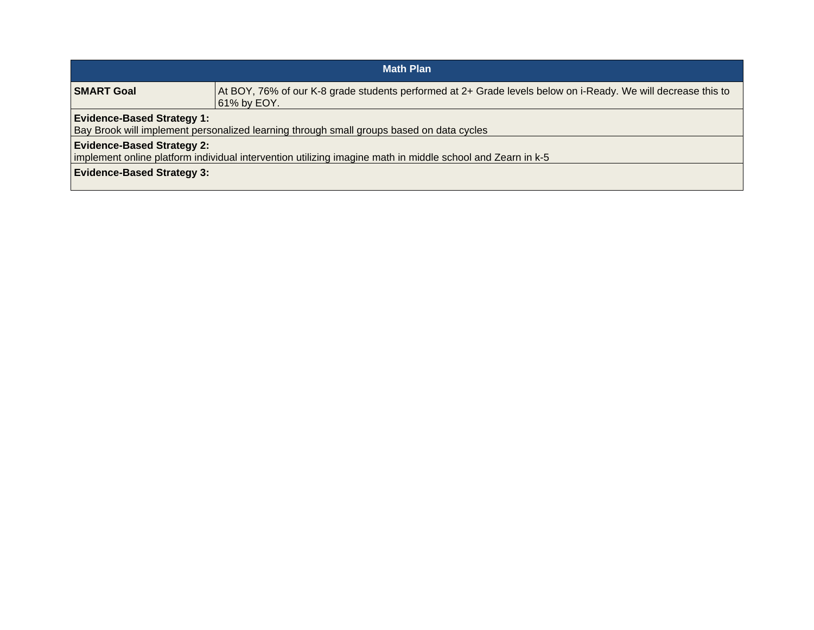| <b>Math Plan</b>                                                                                                                                                                     |                                                                                                                              |  |
|--------------------------------------------------------------------------------------------------------------------------------------------------------------------------------------|------------------------------------------------------------------------------------------------------------------------------|--|
| <b>SMART Goal</b>                                                                                                                                                                    | At BOY, 76% of our K-8 grade students performed at 2+ Grade levels below on i-Ready. We will decrease this to<br>61% by EOY. |  |
| <b>Evidence-Based Strategy 1:</b><br>Bay Brook will implement personalized learning through small groups based on data cycles                                                        |                                                                                                                              |  |
| <b>Evidence-Based Strategy 2:</b><br>implement online platform individual intervention utilizing imagine math in middle school and Zearn in k-5<br><b>Evidence-Based Strategy 3:</b> |                                                                                                                              |  |
|                                                                                                                                                                                      |                                                                                                                              |  |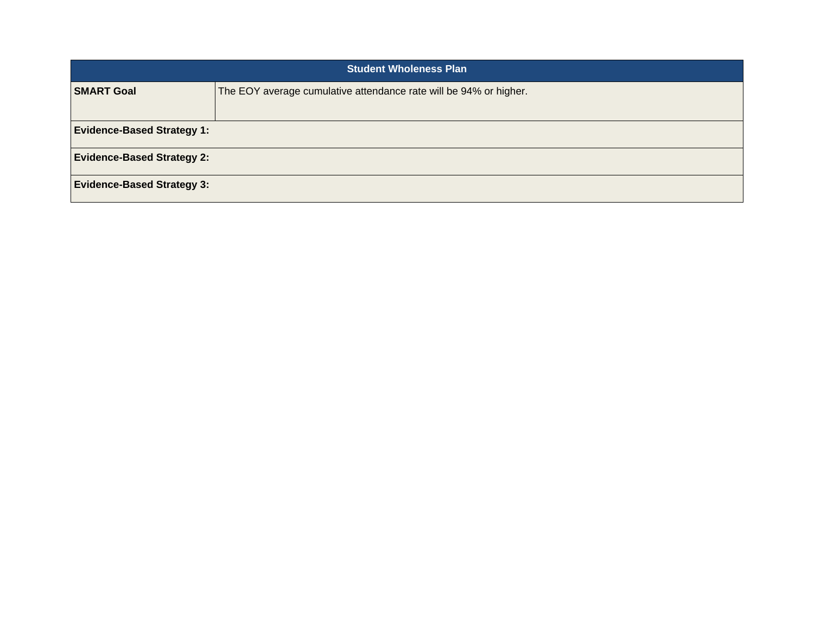| <b>Student Wholeness Plan</b>     |                                                                   |  |
|-----------------------------------|-------------------------------------------------------------------|--|
| <b>SMART Goal</b>                 | The EOY average cumulative attendance rate will be 94% or higher. |  |
|                                   |                                                                   |  |
| <b>Evidence-Based Strategy 1:</b> |                                                                   |  |
| <b>Evidence-Based Strategy 2:</b> |                                                                   |  |
| <b>Evidence-Based Strategy 3:</b> |                                                                   |  |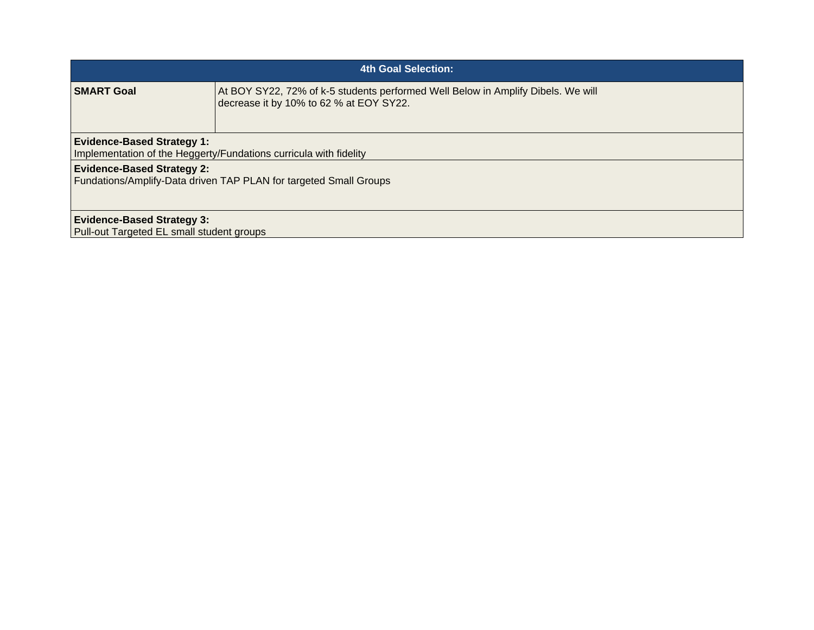| <b>4th Goal Selection:</b>                                                                             |                                                                                                                             |  |
|--------------------------------------------------------------------------------------------------------|-----------------------------------------------------------------------------------------------------------------------------|--|
| <b>SMART Goal</b>                                                                                      | At BOY SY22, 72% of k-5 students performed Well Below in Amplify Dibels. We will<br>decrease it by 10% to 62 % at EOY SY22. |  |
| <b>Evidence-Based Strategy 1:</b><br>Implementation of the Heggerty/Fundations curricula with fidelity |                                                                                                                             |  |
| <b>Evidence-Based Strategy 2:</b><br>Fundations/Amplify-Data driven TAP PLAN for targeted Small Groups |                                                                                                                             |  |
| <b>Evidence-Based Strategy 3:</b>                                                                      |                                                                                                                             |  |
| Pull-out Targeted EL small student groups                                                              |                                                                                                                             |  |